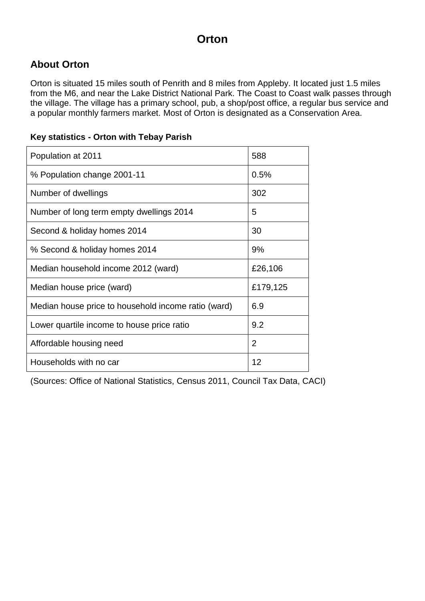### **About Orton**

Orton is situated 15 miles south of Penrith and 8 miles from Appleby. It located just 1.5 miles from the M6, and near the Lake District National Park. The Coast to Coast walk passes through the village. The village has a primary school, pub, a shop/post office, a regular bus service and a popular monthly farmers market. Most of Orton is designated as a Conservation Area.

#### **Key statistics - Orton with Tebay Parish**

| Population at 2011                                  | 588            |
|-----------------------------------------------------|----------------|
| % Population change 2001-11                         | 0.5%           |
| Number of dwellings                                 | 302            |
| Number of long term empty dwellings 2014            | 5              |
| Second & holiday homes 2014                         | 30             |
| % Second & holiday homes 2014                       | 9%             |
| Median household income 2012 (ward)                 | £26,106        |
| Median house price (ward)                           | £179,125       |
| Median house price to household income ratio (ward) | 6.9            |
| Lower quartile income to house price ratio          | 9.2            |
| Affordable housing need                             | $\overline{2}$ |
| Households with no car                              | 12             |

(Sources: Office of National Statistics, Census 2011, Council Tax Data, CACI)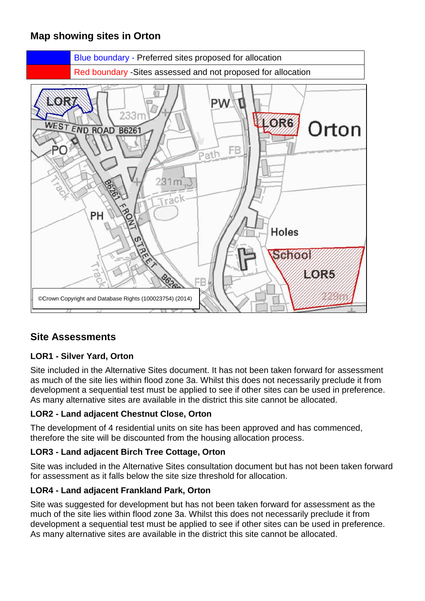## **Map showing sites in Orton**



### **Site Assessments**

#### **LOR1 - Silver Yard, Orton**

Site included in the Alternative Sites document. It has not been taken forward for assessment as much of the site lies within flood zone 3a. Whilst this does not necessarily preclude it from development a sequential test must be applied to see if other sites can be used in preference. As many alternative sites are available in the district this site cannot be allocated.

#### **LOR2 - Land adjacent Chestnut Close, Orton**

The development of 4 residential units on site has been approved and has commenced, therefore the site will be discounted from the housing allocation process.

#### **LOR3 - Land adjacent Birch Tree Cottage, Orton**

Site was included in the Alternative Sites consultation document but has not been taken forward for assessment as it falls below the site size threshold for allocation.

#### **LOR4 - Land adjacent Frankland Park, Orton**

Site was suggested for development but has not been taken forward for assessment as the much of the site lies within flood zone 3a. Whilst this does not necessarily preclude it from development a sequential test must be applied to see if other sites can be used in preference. As many alternative sites are available in the district this site cannot be allocated.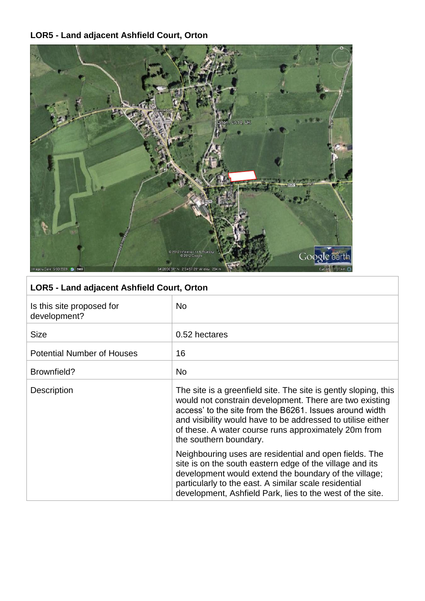# **LOR5 - Land adjacent Ashfield Court, Orton**



| <b>LOR5 - Land adjacent Ashfield Court, Orton</b> |                                                                                                                                                                                                                                                                                                                                        |  |
|---------------------------------------------------|----------------------------------------------------------------------------------------------------------------------------------------------------------------------------------------------------------------------------------------------------------------------------------------------------------------------------------------|--|
| Is this site proposed for<br>development?         | No.                                                                                                                                                                                                                                                                                                                                    |  |
| <b>Size</b>                                       | 0.52 hectares                                                                                                                                                                                                                                                                                                                          |  |
| <b>Potential Number of Houses</b>                 | 16                                                                                                                                                                                                                                                                                                                                     |  |
| Brownfield?                                       | <b>No</b>                                                                                                                                                                                                                                                                                                                              |  |
| <b>Description</b>                                | The site is a greenfield site. The site is gently sloping, this<br>would not constrain development. There are two existing<br>access' to the site from the B6261. Issues around width<br>and visibility would have to be addressed to utilise either<br>of these. A water course runs approximately 20m from<br>the southern boundary. |  |
|                                                   | Neighbouring uses are residential and open fields. The<br>site is on the south eastern edge of the village and its<br>development would extend the boundary of the village;<br>particularly to the east. A similar scale residential<br>development, Ashfield Park, lies to the west of the site.                                      |  |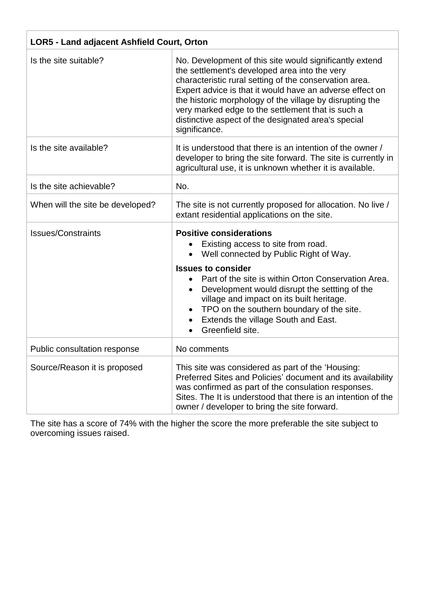| LOR5 - Land adjacent Ashfield Court, Orton |                                                                                                                                                                                                                                                                                                                                                                                                                         |  |
|--------------------------------------------|-------------------------------------------------------------------------------------------------------------------------------------------------------------------------------------------------------------------------------------------------------------------------------------------------------------------------------------------------------------------------------------------------------------------------|--|
| Is the site suitable?                      | No. Development of this site would significantly extend<br>the settlement's developed area into the very<br>characteristic rural setting of the conservation area.<br>Expert advice is that it would have an adverse effect on<br>the historic morphology of the village by disrupting the<br>very marked edge to the settlement that is such a<br>distinctive aspect of the designated area's special<br>significance. |  |
| Is the site available?                     | It is understood that there is an intention of the owner /<br>developer to bring the site forward. The site is currently in<br>agricultural use, it is unknown whether it is available.                                                                                                                                                                                                                                 |  |
| Is the site achievable?                    | No.                                                                                                                                                                                                                                                                                                                                                                                                                     |  |
| When will the site be developed?           | The site is not currently proposed for allocation. No live /<br>extant residential applications on the site.                                                                                                                                                                                                                                                                                                            |  |
| <b>Issues/Constraints</b>                  | <b>Positive considerations</b><br>Existing access to site from road.<br>Well connected by Public Right of Way.<br><b>Issues to consider</b><br>Part of the site is within Orton Conservation Area.<br>$\bullet$<br>Development would disrupt the settting of the<br>village and impact on its built heritage.<br>TPO on the southern boundary of the site.<br>Extends the village South and East.<br>Greenfield site.   |  |
| Public consultation response               | No comments                                                                                                                                                                                                                                                                                                                                                                                                             |  |
| Source/Reason it is proposed               | This site was considered as part of the 'Housing:<br>Preferred Sites and Policies' document and its availability<br>was confirmed as part of the consulation responses.<br>Sites. The It is understood that there is an intention of the<br>owner / developer to bring the site forward.                                                                                                                                |  |

The site has a score of 74% with the higher the score the more preferable the site subject to overcoming issues raised.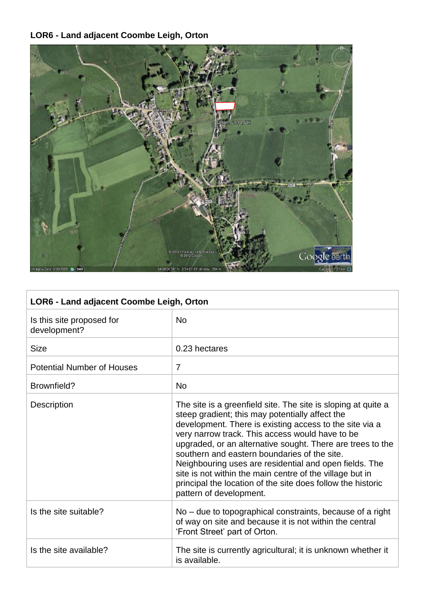# **LOR6 - Land adjacent Coombe Leigh, Orton**



| LOR6 - Land adjacent Coombe Leigh, Orton  |                                                                                                                                                                                                                                                                                                                                                                                                                                                                                                                                                              |  |
|-------------------------------------------|--------------------------------------------------------------------------------------------------------------------------------------------------------------------------------------------------------------------------------------------------------------------------------------------------------------------------------------------------------------------------------------------------------------------------------------------------------------------------------------------------------------------------------------------------------------|--|
| Is this site proposed for<br>development? | <b>No</b>                                                                                                                                                                                                                                                                                                                                                                                                                                                                                                                                                    |  |
| <b>Size</b>                               | 0.23 hectares                                                                                                                                                                                                                                                                                                                                                                                                                                                                                                                                                |  |
| <b>Potential Number of Houses</b>         | $\overline{7}$                                                                                                                                                                                                                                                                                                                                                                                                                                                                                                                                               |  |
| Brownfield?                               | <b>No</b>                                                                                                                                                                                                                                                                                                                                                                                                                                                                                                                                                    |  |
| Description                               | The site is a greenfield site. The site is sloping at quite a<br>steep gradient; this may potentially affect the<br>development. There is existing access to the site via a<br>very narrow track. This access would have to be<br>upgraded, or an alternative sought. There are trees to the<br>southern and eastern boundaries of the site.<br>Neighbouring uses are residential and open fields. The<br>site is not within the main centre of the village but in<br>principal the location of the site does follow the historic<br>pattern of development. |  |
| Is the site suitable?                     | No – due to topographical constraints, because of a right<br>of way on site and because it is not within the central<br>'Front Street' part of Orton.                                                                                                                                                                                                                                                                                                                                                                                                        |  |
| Is the site available?                    | The site is currently agricultural; it is unknown whether it<br>is available.                                                                                                                                                                                                                                                                                                                                                                                                                                                                                |  |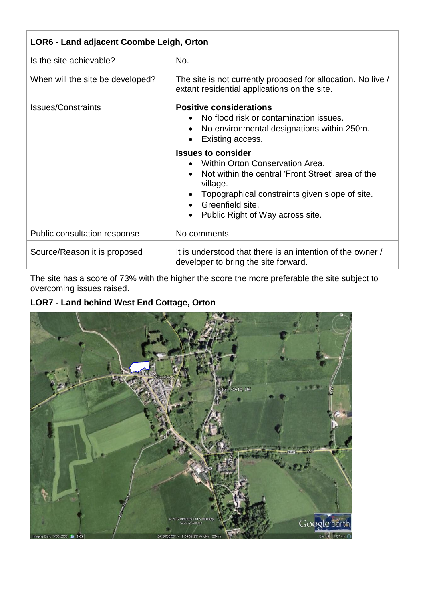| LOR6 - Land adjacent Coombe Leigh, Orton |                                                                                                                                                                                                                                         |  |
|------------------------------------------|-----------------------------------------------------------------------------------------------------------------------------------------------------------------------------------------------------------------------------------------|--|
| Is the site achievable?                  | No.                                                                                                                                                                                                                                     |  |
| When will the site be developed?         | The site is not currently proposed for allocation. No live /<br>extant residential applications on the site.                                                                                                                            |  |
| <b>Issues/Constraints</b>                | <b>Positive considerations</b><br>No flood risk or contamination issues.<br>No environmental designations within 250m.<br>$\bullet$<br>Existing access.                                                                                 |  |
|                                          | <b>Issues to consider</b><br>Within Orton Conservation Area.<br>Not within the central 'Front Street' area of the<br>village.<br>Topographical constraints given slope of site.<br>Greenfield site.<br>Public Right of Way across site. |  |
| Public consultation response             | No comments                                                                                                                                                                                                                             |  |
| Source/Reason it is proposed             | It is understood that there is an intention of the owner /<br>developer to bring the site forward.                                                                                                                                      |  |

The site has a score of 73% with the higher the score the more preferable the site subject to overcoming issues raised.

## **LOR7 - Land behind West End Cottage, Orton**